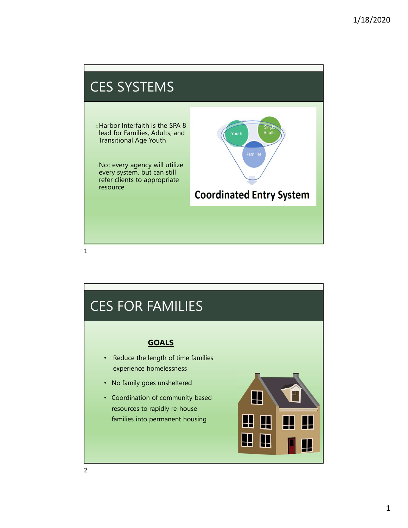

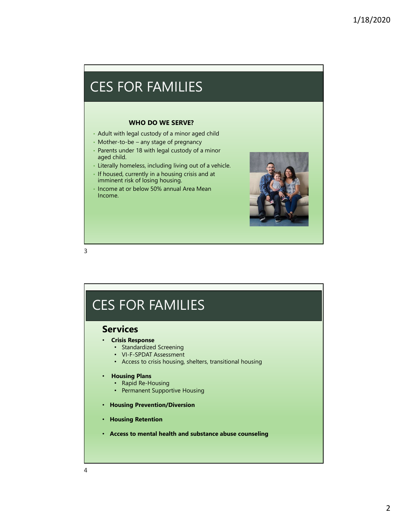### CES FOR FAMILIES

#### WHO DO WE SERVE?

- Adult with legal custody of a minor aged child
- 
- Parents under 18 with legal custody of a minor aged child.
- Literally homeless, including living out of a vehicle.
- If housed, currently in a housing crisis and at imminent risk of losing housing.
- Income at or below 50% annual Area Mean Income.



3

# CES FOR FAMILIES

#### Services

- Crisis Response
	- Standardized Screening
	- VI-F-SPDAT Assessment
	- Access to crisis housing, shelters, transitional housing

#### • Housing Plans

- Rapid Re-Housing
- Permanent Supportive Housing
- Housing Prevention/Diversion
- Housing Retention
- Access to mental health and substance abuse counseling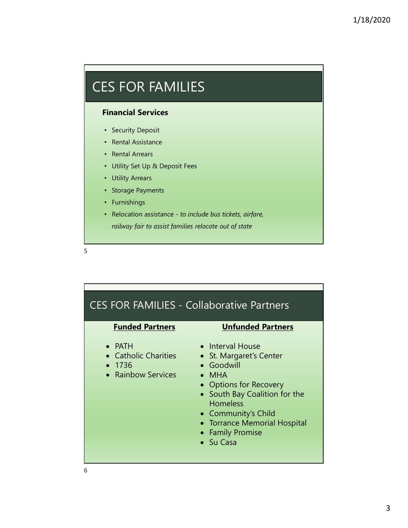### <u>CES FOR FAMILIES CONSUMING SERVICES CONSUMING SERVICES CONSUMING SERVICES CONSUMING SERVICES CONSUMING SERVICES</u> CES FOR FAMILIES

### Financial Services

- Security Deposit
- Rental Assistance
- Rental Arrears
- Utility Set Up & Deposit Fees
- Utility Arrears
- Storage Payments
- Furnishings
- Relocation assistance to include bus tickets, airfare, railway fair to assist families relocate out of state

 $5<sub>5</sub>$ 



6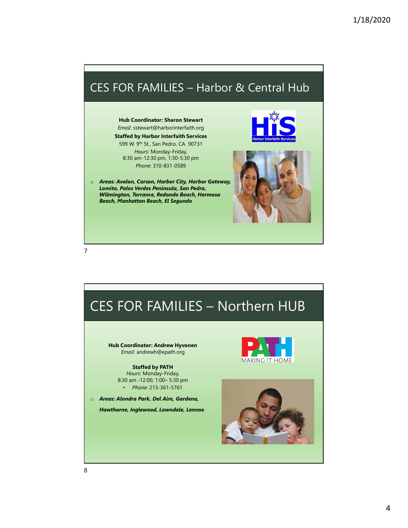

Hub Coordinator: Andrew Hyvonen Email: andrewh@epath.org

Staffed by PATH Hours: Monday-Friday,<br>8:30 am -12:00, 1:00- 5:30 pm • Phone: 213-361-5761

o Areas: Alondra Park, Del Aire, Gardena,

Hawthorne, Inglewood, Lawndale, Lennox



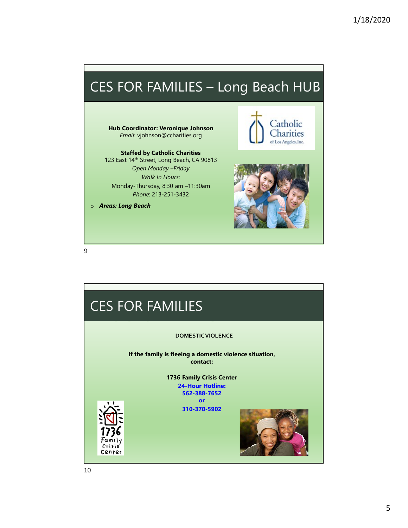# CES FOR FAMILIES – Long Beach HUB

Staffed by Catholic Charities 123 East 14th Street, Long Beach, CA 90813 Open Monday –Friday Walk In Hours: Monday-Thursday, 8:30 am –11:30am Phone: 213-251-3432

o Areas: Long Beach



9